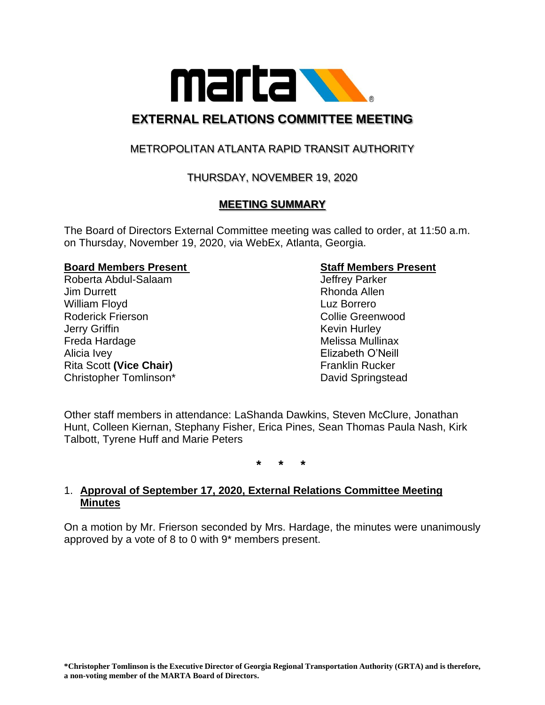

# **EXTERNAL RELATIONS COMMITTEE MEETING**

## METROPOLITAN ATLANTA RAPID TRANSIT AUTHORITY

## THURSDAY, NOVEMBER 19, 2020

## **MEETING SUMMARY**

The Board of Directors External Committee meeting was called to order, at 11:50 a.m. on Thursday, November 19, 2020, via WebEx, Atlanta, Georgia.

#### **Board Members Present Staff Members Present**

Roberta Abdul-Salaam Jeffrey Parker Jim Durrett **Rhonda** Allen William Floyd **Luz Borrero** Roderick Frierson **Collie Greenwood Collie Greenwood Jerry Griffin** Kevin Hurley Freda Hardage **Melissa Mullinax** Alicia Ivey Elizabeth O'Neill Rita Scott (Vice Chair) **Fichary** Franklin Rucker Christopher Tomlinson\* David Springstead

Other staff members in attendance: LaShanda Dawkins, Steven McClure, Jonathan Hunt, Colleen Kiernan, Stephany Fisher, Erica Pines, Sean Thomas Paula Nash, Kirk Talbott, Tyrene Huff and Marie Peters

**\* \* \***

### 1. **Approval of September 17, 2020, External Relations Committee Meeting Minutes**

On a motion by Mr. Frierson seconded by Mrs. Hardage, the minutes were unanimously approved by a vote of 8 to 0 with 9\* members present.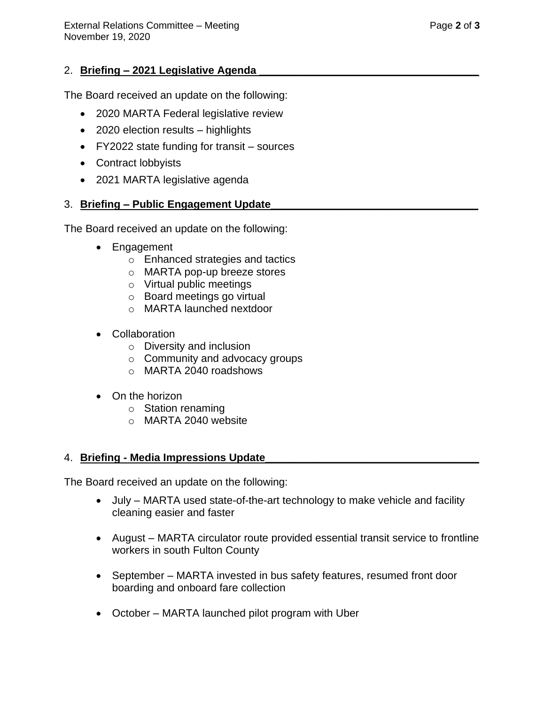## 2. **Briefing – 2021 Legislative Agenda**

The Board received an update on the following:

- 2020 MARTA Federal legislative review
- 2020 election results highlights
- FY2022 state funding for transit sources
- Contract lobbyists
- 2021 MARTA legislative agenda

## 3. **Briefing – Public Engagement Update\_\_\_\_\_\_\_\_\_\_\_\_\_\_\_\_\_\_\_\_\_\_\_\_\_\_\_\_\_\_\_\_\_\_\_**

The Board received an update on the following:

- Engagement
	- o Enhanced strategies and tactics
	- o MARTA pop-up breeze stores
	- o Virtual public meetings
	- o Board meetings go virtual
	- o MARTA launched nextdoor
- Collaboration
	- o Diversity and inclusion
	- o Community and advocacy groups
	- o MARTA 2040 roadshows
- On the horizon
	- o Station renaming
	- o MARTA 2040 website

## 4. **Briefing - Media Impressions Update\_\_\_\_\_\_\_\_\_\_\_\_\_\_\_\_\_\_\_\_\_\_\_\_\_\_\_\_\_\_\_\_\_\_\_\_**

The Board received an update on the following:

- July MARTA used state-of-the-art technology to make vehicle and facility cleaning easier and faster
- August MARTA circulator route provided essential transit service to frontline workers in south Fulton County
- September MARTA invested in bus safety features, resumed front door boarding and onboard fare collection
- October MARTA launched pilot program with Uber